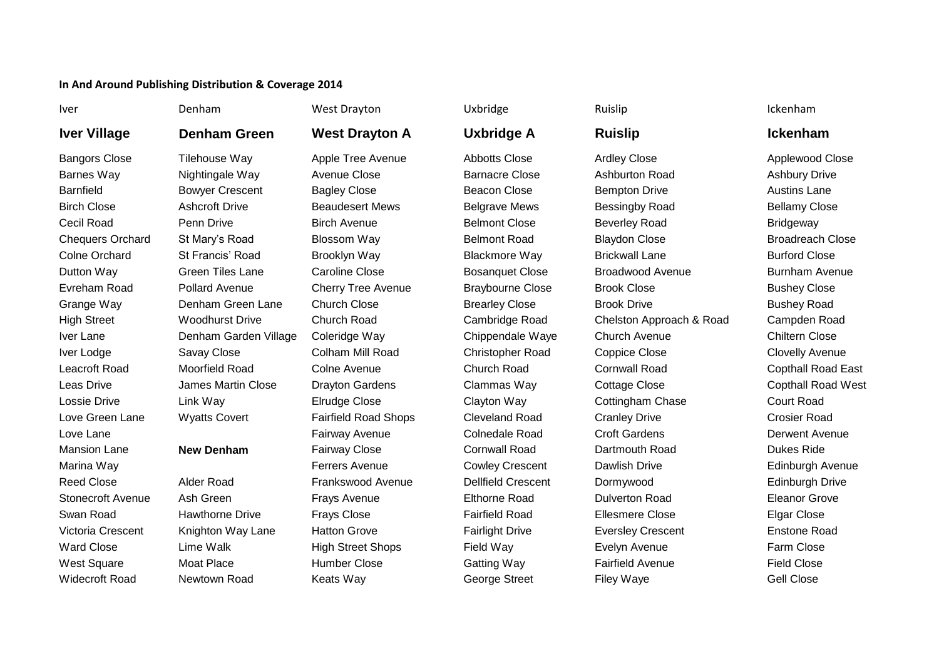## **In And Around Publishing Distribution & Coverage 2014**

# **Iver Village Denham Green West Drayton A Uxbridge A Ruislip Ickenham**

Bangors Close Tilehouse Way Apple Tree Avenue Abbotts Close Ardley Close Applewood Close Barnes Way Nightingale Way Avenue Close Barnacre Close Ashburton Road Ashbury Drive Barnfield Bowyer Crescent Bagley Close Beacon Close Bempton Drive Austins Lane Birch Close Ashcroft Drive Beaudesert Mews Belgrave Mews Bessingby Road Bellamy Close Cecil Road Penn Drive Birch Avenue Belmont Close Beverley Road Bridgeway Chequers Orchard St Mary's Road Blossom Way Belmont Road Blaydon Close Broadreach Close Colne Orchard St Francis' Road Brooklyn Way Blackmore Way Brickwall Lane Burford Close Dutton Way Green Tiles Lane Caroline Close Bosanquet Close Broadwood Avenue Burnham Avenue Evreham Road Pollard Avenue Cherry Tree Avenue Braybourne Close Brook Close Bushey Close Grange Way Denham Green Lane Church Close Brearley Close Brook Drive Bushey Road High Street Woodhurst Drive Church Road Cambridge Road Chelston Approach & Road Campden Road Iver Lane Denham Garden Village Coleridge Way Chippendale Waye Church Avenue Chiltern Close Iver Lodge Savay Close Colham Mill Road Christopher Road Coppice Close Clovelly Avenue Leacroft Road Moorfield Road Colne Avenue Church Road Cornwall Road Copthall Road East Leas Drive James Martin Close Drayton Gardens Clammas Way Cottage Close Copthall Road West Lossie Drive Link Way Elrudge Close Clayton Way Cottingham Chase Court Road Love Green Lane Wyatts Covert Fairfield Road Shops Cleveland Road Cranley Drive Crosier Road

Iver **18 Menham 1988** West Drayton **Van Uxbridge** Nuislip Ruislip Ruislip Ickenham

Love Lane Fairway Avenue Colnedale Road Croft Gardens Derwent Avenue Mansion Lane **New Denham** Fairway Close Cornwall Road Dartmouth Road Dukes Ride Marina Way Ferrers Avenue Cowley Crescent Dawlish Drive Edinburgh Avenue Reed Close Alder Road Frankswood Avenue Dellfield Crescent Dormywood Edinburgh Drive Stonecroft Avenue Ash Green Frays Avenue Elthorne Road Dulverton Road Eleanor Grove Swan Road Hawthorne Drive Frays Close Fairfield Road Ellesmere Close Elgar Close Victoria Crescent Knighton Way Lane Hatton Grove Fairlight Drive Eversley Crescent Enstone Road Ward Close Clime Walk High Street Shops Field Way Evelyn Avenue Farm Close Farm Close West Square Moat Place Humber Close Gatting Way Fairfield Avenue Field Close Widecroft Road Newtown Road Keats Way George Street Filey Waye Gell Close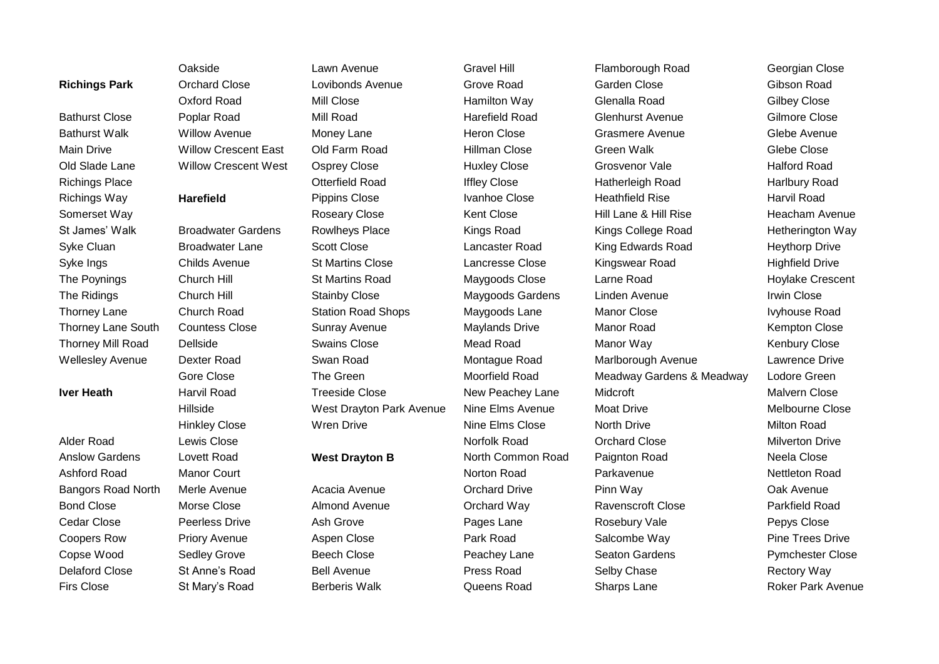Oakside Lawn Avenue Gravel Hill Flamborough Road Georgian Close **Richings Park** Orchard Close Lovibonds Avenue Grove Road Garden Close Gibson Road Oxford Road Mill Close Hamilton Way Glenalla Road Gilbey Close Bathurst Close Poplar Road Mill Road Harefield Road Glenhurst Avenue Gilmore Close Bathurst Walk Willow Avenue Money Lane Heron Close Grasmere Avenue Glebe Avenue Main Drive Community Crescent East Old Farm Road Hillman Close Green Walk Green Walk Glebe Close Old Slade Lane Willow Crescent West Osprey Close Huxley Close Grosvenor Vale Halford Road Richings Place Otterfield Road Iffley Close Hatherleigh Road Harlbury Road Richings Way **Harefield** Pippins Close Ivanhoe Close Heathfield Rise Harvil Road Somerset Way Roseary Close Kent Close Hill Lane & Hill Rise Heacham Avenue St James' Walk Broadwater Gardens Rowlheys Place Kings Road Kings College Road Hetherington Way Syke Cluan Broadwater Lane Scott Close Lancaster Road King Edwards Road Heythorp Drive Syke Ings Childs Avenue St Martins Close Lancresse Close Kingswear Road Highfield Drive The Poynings Church Hill St Martins Road Maygoods Close Larne Road Hoylake Crescent The Ridings Church Hill Stainby Close Maygoods Gardens Linden Avenue Irwin Close Thorney Lane Church Road Station Road Shops Maygoods Lane Manor Close Ivyhouse Road Thorney Lane South Countess Close Sunray Avenue Maylands Drive Manor Road Kempton Close Thorney Mill Road Dellside Swains Close Mead Road Mead Road Manor Way Senbury Close Wellesley Avenue Dexter Road Swan Road Montague Road Marlborough Avenue Lawrence Drive Gore Close The Green Moorfield Road Meadway Gardens & Meadway Lodore Green **Iver Heath** Harvil Road Treeside Close New Peachey Lane Midcroft Midroft Malvern Close Hillside West Drayton Park Avenue Nine Elms Avenue Moat Drive Melbourne Close Hinkley Close Wren Drive Nine Elms Close North Drive Milton Road

Alder Road Lewis Close Norfolk Road Orchard Close Milverton Drive Anslow Gardens Lovett Road **West Drayton B** North Common Road Paignton Road Neela Close Ashford Road Manor Court Norton Road Parkavenue Nettleton Road Bangors Road North Merle Avenue **Acacia Avenue** Acacia Avenue **Contained Drive** Pinn Way **Provided Avenue** Oak Avenue Bond Close Morse Close Almond Avenue Orchard Way Ravenscroft Close Parkfield Road Cedar Close Peerless Drive Ash Grove Pages Lane Rosebury Vale Pepys Close Coopers Row Priory Avenue Aspen Close Park Road Salcombe Way Pine Trees Drive Park Road Salcombe Way Copse Wood Sedley Grove Beech Close Peachey Lane Seaton Gardens Pymchester Close Delaford Close St Anne's Road Bell Avenue Press Road Selby Chase Rectory Way Firs Close St Mary's Road Berberis Walk Queens Road Sharps Lane Roker Park Avenue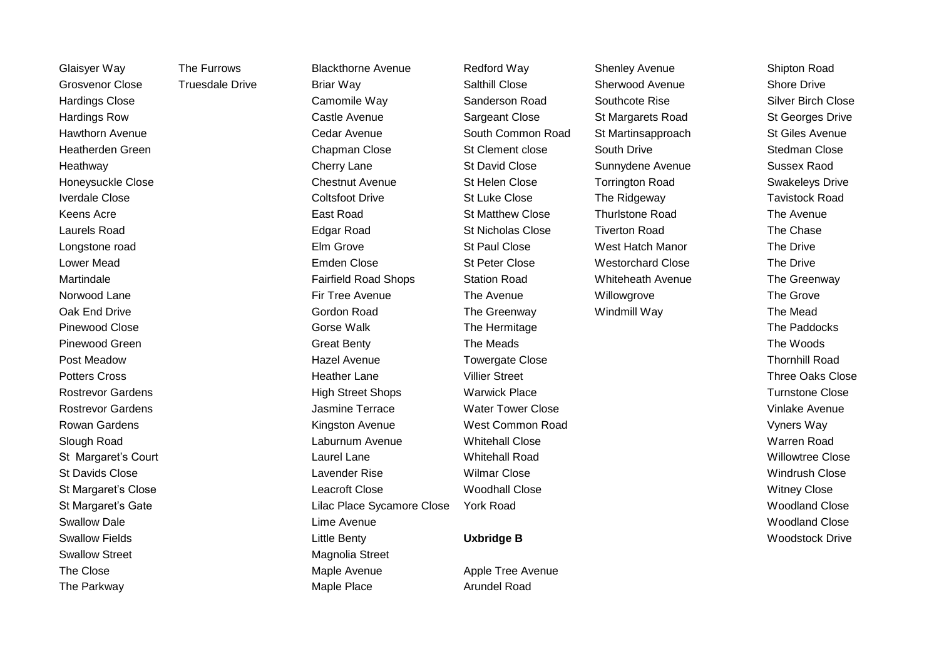Swallow Street **Magnolia** Street Magnolia Street

Glaisyer Way The Furrows Blackthorne Avenue Redford Way Shenley Avenue Shipton Road Grosvenor Close Truesdale Drive Briar Way Salthill Close Sherwood Avenue Shore Drive Hardings Close Camomile Way Sanderson Road Southcote Rise Silver Birch Close Hardings Row Castle Avenue Sargeant Close St Margarets Road St Georges Drive Hawthorn Avenue South Cedar Avenue South Common Road St Martinsapproach St Giles Avenue Heatherden Green Chapman Close St Clement close South Drive Stedman Close Heathway Cherry Lane St David Close Sunnydene Avenue Sussex Raod Honeysuckle Close Chestnut Avenue St Helen Close Torrington Road Swakeleys Drive Iverdale Close Coltsfoot Drive St Luke Close The Ridgeway Tavistock Road Keens Acre East Road St Matthew Close Thurlstone Road The Avenue Laurels Road Edgar Road St Nicholas Close Tiverton Road The Chase Longstone road Elm Grove St Paul Close West Hatch Manor The Drive Lower Mead Emden Close St Peter Close Westorchard Close The Drive Martindale The Greenway Fairfield Road Shops Station Road Whiteheath Avenue The Greenway Norwood Lane Firm the Avenue Firm Tree Avenue Firm the Avenue Millowgrove The Grove The Grove Oak End Drive Gordon Road The Greenway Mindmill Way The Mead The Greenway Albert Windmill Way The Mead Pinewood Close Gorse Walk The Hermitage The Paddocks Pinewood Green Great Benty The Meads The Woods Post Meadow Hazel Avenue Towergate Close Thornhill Road Potters Cross **Exercise Struck And The Call Cross** Heather Lane Villier Street Three Oaks Close Three Oaks Close Rostrevor Gardens **High Street Shops** Warwick Place **National Street Shops** Warwick Place Turnstone Close Turnstone Close Rostrevor Gardens Jasmine Terrace Water Tower Close Vinlake Avenue Rowan Gardens **Kingston Avenue** West Common Road **Warehouse** Vyners Way Slough Road Laburnum Avenue Whitehall Close Warren Road St Margaret's Court **Exercise Close** Laurel Lane Minitehall Road Number 2006 and Willowtree Close St Davids Close Lavender Rise Wilmar Close Windrush Close St Margaret's Close Close Close Leacroft Close Woodhall Close Close Close Witney Close St Margaret's Gate **Lilac Place Sycamore Close** York Road **Close** York And Moodland Close Swallow Dale Lime Avenue Woodland Close Swallow Fields Little Benty **Uxbridge B** Woodstock Drive The Close **Maple Avenue** Maple Avenue Apple Tree Avenue The Parkway **Maple Place** Arundel Road **Maple Place** Arundel Road Arundel Road **Article**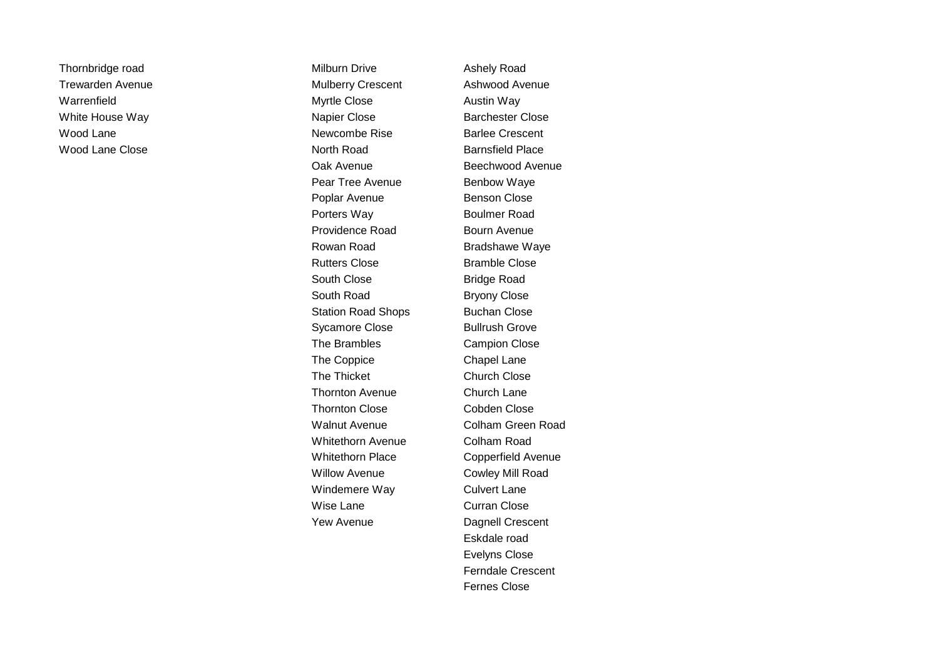Thornbridge road **Milburn Drive** Ashely Road Milburn Drive Trewarden Avenue **Trewarden Avenue** Mulberry Crescent Ashwood Avenue Warrenfield **Myrtle Close Austin Way** White House Way **Napier Close Barchester Close Barchester Close** Wood Lane **Newcombe Rise** Barlee Crescent Wood Lane Close **North Road** Barnsfield Place Oak Avenue **Beechwood Avenue** Pear Tree Avenue Benbow Waye Poplar Avenue Benson Close Porters Way **Boulmer Road** Providence Road Bourn Avenue Rowan Road Bradshawe Waye Rutters Close Bramble Close South Close Bridge Road South Road Bryony Close Station Road Shops Buchan Close Sycamore Close Bullrush Grove The Brambles Campion Close The Coppice **Chapel Lane** The Thicket Church Close Thornton Avenue **Church Lane** Thornton Close Cobden Close Walnut Avenue **Colham Green Road** Whitethorn Avenue **Colham Road** Whitethorn Place Copperfield Avenue Willow Avenue **Cowley Mill Road** Windemere Way **Culvert Lane** Wise Lane **Curran Close** Yew Avenue **Dagnell Crescent** 

Eskdale road Evelyns Close Ferndale Crescent Fernes Close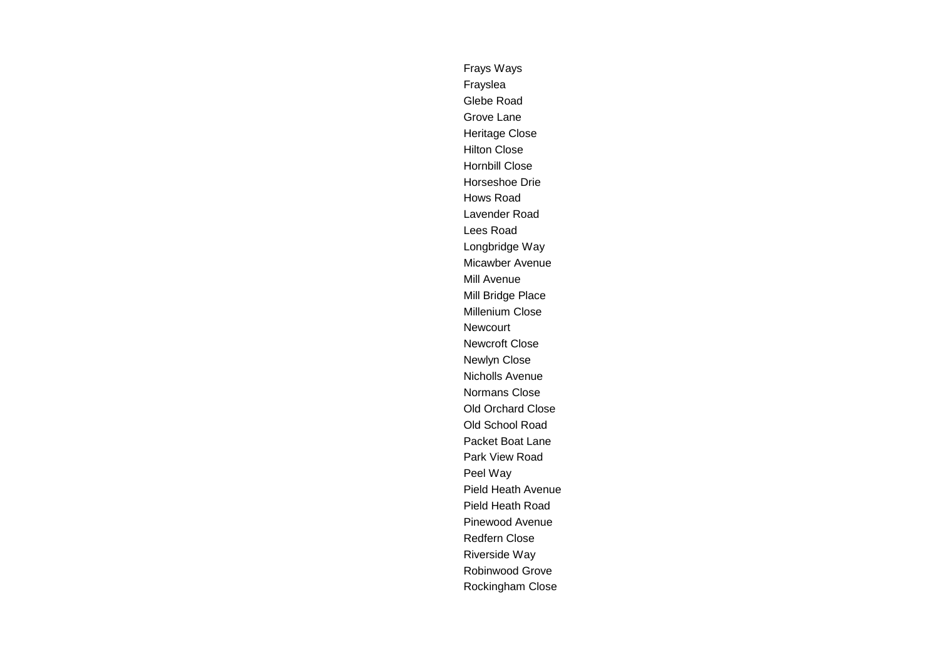Frays Ways Frayslea Glebe Road Grove Lane Heritage Close Hilton Close Hornbill Close Horseshoe Drie Hows Road Lavender Road Lees Road Longbridge Way Micawber Avenue Mill Avenue Mill Bridge Place Millenium Close Newcourt Newcroft Close Newlyn Close Nicholls Avenue Normans Close Old Orchard Close Old School Road Packet Boat Lane Park View Road Peel Way Pield Heath Avenue Pield Heath Road Pinewood Avenue Redfern Close Riverside Way Robinwood Grove Rockingham Close